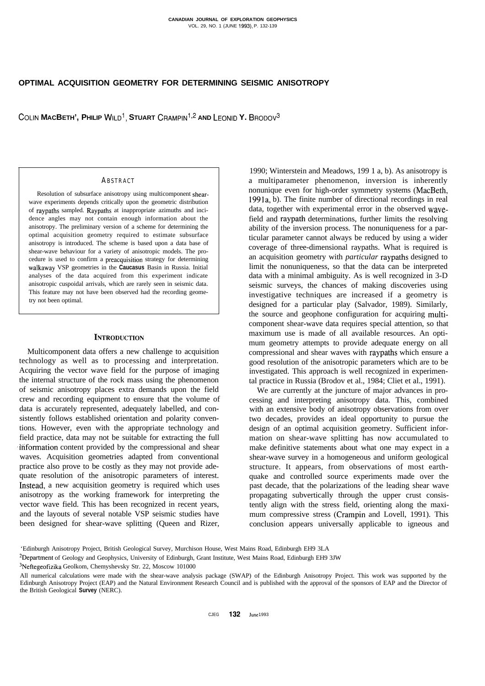# **OPTIMAL ACQUISITION GEOMETRY FOR DETERMINING SEISMIC ANISOTROPY**

**COLIN MACBETH', PHILIP WILD<sup>1</sup>, STUART CRAMPIN<sup>1,2</sup> AND LEONID Y. BRODOV<sup>3</sup>** 

### **ABSTRACT**

Resolution of subsurface anisotropy using multicomponent shearwave experiments depends critically upon the geometric distribution of raypaths sampled. Raypaths at inappropriate azimuths and incidence angles may not contain enough information about the anisotropy. The preliminary version of a scheme for determining the optimal acquisition geometry required to estimate subsurface anisotropy is introduced. The scheme is based upon a data base of shear-wave behaviour for a variety of anisotropic models. The procedure is used to confirm a preacquisition strategy for determining walkaway VSP geometries in the **Caucasus** Basin in Russia. Initial analyses of the data acquired from this experiment indicate anisotropic cuspoidal arrivals, which are rarely seen in seismic data. This feature may not have been observed had the recording geometry not been optimal.

# **INTRODUCTION**

Multicomponent data offers a new challenge to acquisition technology as well as to processing and interpretation. Acquiring the vector wave field for the purpose of imaging the internal structure of the rock mass using the phenomenon of seismic anisotropy places extra demands upon the field crew and recording equipment to ensure that the volume of data is accurately represented, adequately labelled, and consistently follows established orientation and polarity conventions. However, even with the appropriate technology and field practice, data may not be suitable for extracting the full 'iriformation content provided by the compressional and shear waves. Acquisition geometries adapted from conventional practice also prove to be costly as they may not provide adequate resolution of the anisotropic parameters of interest. Instead, a new acquisition geometry is required which uses anisotropy as the working framework for interpreting the vector wave field. This has been recognized in recent years, and the layouts of several notable VSP seismic studies have been designed for shear-wave splitting (Queen and Rizer,

1990; Winterstein and Meadows, 199 1 a, b). As anisotropy is a multiparameter phenomenon, inversion is inherently nonunique even for high-order symmetry systems (MacBeth, 1991a, b). The finite number of directional recordings in real data, together with experimental error in the observed wavefield and raypath determinations, further limits the resolving ability of the inversion process. The nonuniqueness for a particular parameter cannot always be reduced by using a wider coverage of three-dimensional raypaths. What is required is an acquisition geometry with *particular* raypaths designed to limit the nonuniqueness, so that the data can be interpreted data with a minimal ambiguity. As is well recognized in 3-D seismic surveys, the chances of making discoveries using investigative techniques are increased if a geometry is designed for a particular play (Salvador, 1989). Similarly, the source and geophone configuration for acquiring multicomponent shear-wave data requires special attention, so that maximum use is made of all available resources. An optimum geometry attempts to provide adequate energy on all compressional and shear waves with raypaths which ensure a good resolution of the anisotropic parameters which are to be investigated. This approach is well recognized in experimental practice in Russia (Brodov et al., 1984; Cliet et al., 1991).

We are currently at the juncture of major advances in processing and interpreting anisotropy data. This, combined with an extensive body of anisotropy observations from over two decades, provides an ideal opportunity to pursue the design of an optimal acquisition geometry. Sufficient information on shear-wave splitting has now accumulated to make definitive statements about what one may expect in a shear-wave survey in a homogeneous and uniform geological structure. It appears, from observations of most earthquake and controlled source experiments made over the past decade, that the polarizations of the leading shear wave propagating subvertically through the upper crust consistently align with the stress field, orienting along the maximum compressive stress (Crampin and Lovell, 1991). This conclusion appears universally applicable to igneous and

<sup>&#</sup>x27;Edinburgh Anisotropy Project, British Geological Survey, Murchison House, West Mains Road, Edinburgh EH9 3LA

<sup>2</sup>Department of Geology and Geophysics, University of Edinburgh, Grant Institute, West Mains Road, Edinburgh EH9 3JW 3Neftegeofizika Geolkom, Chemyshevsky Str. 22, Moscow 101000

All numerical calculations were made with the shear-wave analysis package (SWAP) of the Edinburgh Anisotropy Project. This work was supported by the Edinburgh Anisotropy Project (EAP) and the Natural Environment Research Council and is published with the approval of the sponsors of EAP and the Director of the British Geological **Survey** (NERC).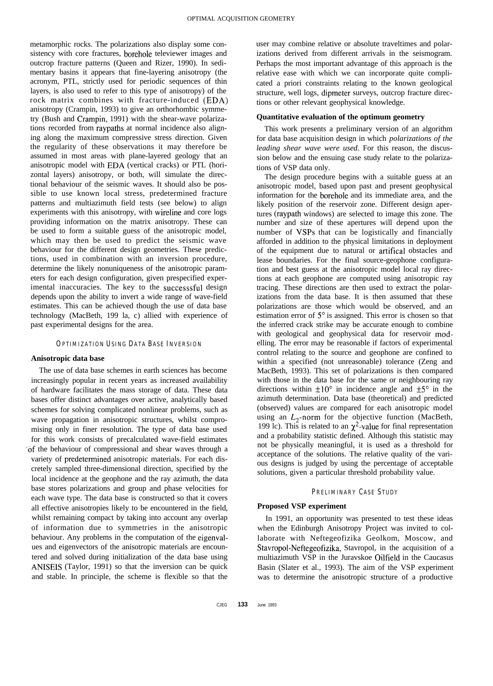metamorphic rocks. The polarizations also display some consistency with core fractures, borehole televiewer images and outcrop fracture patterns (Queen and Rizer, 1990). In sedimentary basins it appears that fine-layering anisotropy (the acronym, PTL, strictly used for periodic sequences of thin layers, is also used to refer to this type of anisotropy) of the rock matrix combines with fracture-induced (EDA) anisotropy (Crampin, 1993) to give an orthorhombic symmetry (Bush and Crampin, 1991) with the shear-wave polarizations recorded from raypaths at normal incidence also aligning along the maximum compressive stress direction. Given the regularity of these observations it may therefore be assumed in most areas with plane-layered geology that an anisotropic model with EDA (vertical cracks) or PTL (horizontal layers) anisotropy, or both, will simulate the directional behaviour of the seismic waves. It should also be possible to use known local stress, predetermined fracture patterns and multiazimuth field tests (see below) to align experiments with this anisotropy, with wireline and core logs providing information on the matrix anisotropy. These can be used to form a suitable guess of the anisotropic model, which may then be used to predict the seismic wave behaviour for the different design geometries. These predictions, used in combination with an inversion procedure, determine the likely nonuniqueness of the anisotropic parameters for each design configuration, given prespecified experimental inaccuracies. The key to the successsful design depends upon the ability to invert a wide range of wave-field estimates. This can be achieved though the use of data base technology (MacBeth, 199 la, c) allied with experience of past experimental designs for the area.

### **OPTIMIZATION USING DATA BASE INVERSION**

### **Anisotropic data base**

The use of data base schemes in earth sciences has become increasingly popular in recent years as increased availability of hardware facilitates the mass storage of data. These data bases offer distinct advantages over active, analytically based schemes for solving complicated nonlinear problems, such as wave propagation in anisotropic structures, whilst compromising only in finer resolution. The type of data base used for this work consists of precalculated wave-field estimates 'of the behaviour of compressional and shear waves through a variety of predetermined anisotropic materials. For each discretely sampled three-dimensional direction, specified by the local incidence at the geophone and the ray azimuth, the data base stores polarizations and group and phase velocities for each wave type. The data base is constructed so that it covers all effective anisotropies likely to be encountered in the field, whilst remaining compact by taking into account any overlap of information due to symmetries in the anisotropic behaviour. Any problems in the computation of the eigenvalues and eigenvectors of the anisotropic materials are encountered and solved during initialization of the data base using ANISEIS (Taylor, 1991) so that the inversion can be quick and stable. In principle, the scheme is flexible so that the user may combine relative or absolute traveltimes and polarizations derived from different arrivals in the seismogram. Perhaps the most important advantage of this approach is the relative ease with which we can incorporate quite complicated a priori constraints relating to the known geological structure, well logs, dipmeter surveys, outcrop fracture directions or other relevant geophysical knowledge.

### **Quantitative evaluation of the optimum geometry**

This work presents a preliminary version of an algorithm for data base acquisition design in which *polarizations of the leading shear wave were used.* For this reason, the discussion below and the ensuing case study relate to the polarizations of VSP data only.

The design procedure begins with a suitable guess at an anisotropic model, based upon past and present geophysical information for the borehole and its immediate area, and the likely position of the reservoir zone. Different design apertures (raypath windows) are selected to image this zone. The number and size of these apertures will depend upon the number of VSPs that can be logistically and financially afforded in addition to the physical limitations in deployment of the equipment due to natural or artifical obstacles and lease boundaries. For the final source-geophone configuration and best guess at the anisotropic model local ray directions at each geophone are computed using anisotropic ray tracing. These directions are then used to extract the polarizations from the data base. It is then assumed that these polarizations are those which would be observed, and an estimation error of  $5^\circ$  is assigned. This error is chosen so that the inferred crack strike may be accurate enough to combine with geological and geophysical data for reservoir modelling. The error may be reasonable if factors of experimental control relating to the source and geophone are confined to within a specified (not unreasonable) tolerance (Zeng and MacBeth, 1993). This set of polarizations is then compared with those in the data base for the same or neighbouring ray directions within  $\pm 10^{\circ}$  in incidence angle and  $\pm 5^{\circ}$  in the azimuth determination. Data base (theoretical) and predicted (observed) values are compared for each anisotropic model using an  $L_2$ -norm for the objective function (MacBeth, 199 lc). This is related to an  $\chi^2$ -value for final representation and a probability statistic defined. Although this statistic may not be physically meaningful, it is used as a threshold for acceptance of the solutions. The relative quality of the various designs is judged by using the percentage of acceptable solutions, given a particular threshold probability value.

# **PRELIMINARY CASE STUDY**

### **Proposed VSP experiment**

In 1991, an opportunity was presented to test these ideas when the Edinburgh Anisotropy Project was invited to collaborate with Neftegeofizika Geolkom, Moscow, and Stavropol-Neftegeofizika, Stavropol, in the acquisition of a multiazimuth VSP in the Juravskoe Oilfield in the Caucasus Basin (Slater et al., 1993). The aim of the VSP experiment was to determine the anisotropic structure of a productive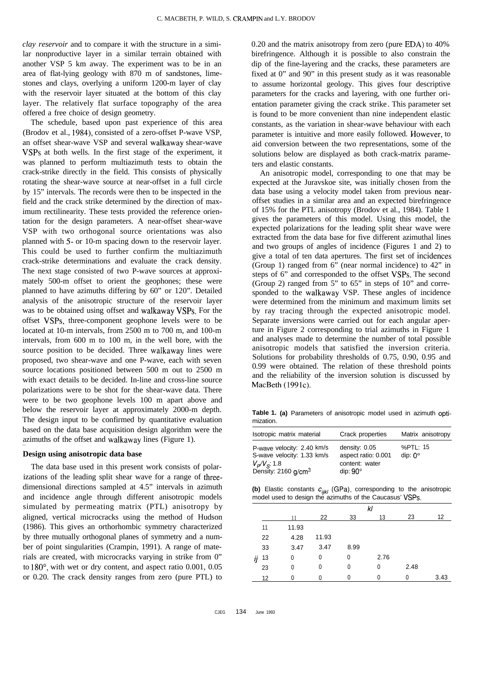*clay reservoir* and to compare it with the structure in a similar nonproductive layer in a similar terrain obtained with another VSP 5 km away. The experiment was to be in an area of flat-lying geology with 870 m of sandstones, limestones and clays, overlying a uniform 1200-m layer of clay with the reservoir layer situated at the bottom of this clay layer. The relatively flat surface topography of the area offered a free choice of design geometry.

The schedule, based upon past experience of this area (Brodov et al., 1984), consisted of a zero-offset P-wave VSP, an offset shear-wave VSP and several walkaway shear-wave VSPs at both wells. In the first stage of the experiment, it was planned to perform multiazimuth tests to obtain the crack-strike directly in the field. This consists of physically rotating the shear-wave source at near-offset in a full circle by 15" intervals. The records were then to be inspected in the field and the crack strike determined by the direction of maximum rectilinearity. These tests provided the reference orientation for the design parameters. A near-offset shear-wave VSP with two orthogonal source orientations was also planned with 5- or 10-m spacing down to the reservoir layer. This could be used to further confirm the multiazimuth crack-strike determinations and evaluate the crack density. The next stage consisted of two P-wave sources at approximately 500-m offset to orient the geophones; these were planned to have azimuths differing by 60" or 120". Detailed analysis of the anisotropic structure of the reservoir layer was to be obtained using offset and walkaway VSPs. For the offset VSPs, three-component geophone levels were to be located at 10-m intervals, from 2500 m to 700 m, and 100-m intervals, from 600 m to 100 m, in the well bore, with the source position to be decided. Three walkaway lines were proposed, two shear-wave and one P-wave, each with seven source locations positioned between 500 m out to 2500 m with exact details to be decided. In-line and cross-line source polarizations were to be shot for the shear-wave data. There were to be two geophone levels 100 m apart above and below the reservoir layer at approximately 2000-m depth. The design input to be confirmed by quantitative evaluation based on the data base acquisition design algorithm were the azimuths of the offset and walkaway lines (Figure 1).

## **Design using anisotropic data base**

The data base used in this present work consists of polarizations of the leading split shear wave for a range of threedimensional directions sampled at 4.5" intervals in azimuth and incidence angle through different anisotropic models simulated by permeating matrix (PTL) anisotropy by aligned, vertical microcracks using the method of Hudson (1986). This gives an orthorhombic symmetry characterized by three mutually orthogonal planes of symmetry and a number of point singularities (Crampin, 1991). A range of materials are created, with microcracks varying in strike from 0" to 180", with wet or dry content, and aspect ratio 0.001, 0.05 or 0.20. The crack density ranges from zero (pure PTL) to

0.20 and the matrix anisotropy from zero (pure EDA) to 40% birefringence. Although it is possible to also constrain the dip of the fine-layering and the cracks, these parameters are fixed at 0" and 90" in this present study as it was reasonable to assume horizontal geology. This gives four descriptive parameters for the cracks and layering, with one further orientation parameter giving the crack strike . This parameter set is found to be more convenient than nine independent elastic constants, as the variation in shear-wave behaviour with each parameter is intuitive and more easily followed. However, to aid conversion between the two representations, some of the solutions below are displayed as both crack-matrix parameters and elastic constants.

An anisotropic model, corresponding to one that may be expected at the Juravskoe site, was initially chosen from the data base using a velocity model taken from previous nearoffset studies in a similar area and an expected birefringence of 15% for the PTL anisotropy (Brodov et al., 1984). Table 1 gives the parameters of this model. Using this model, the expected polarizations for the leading split shear wave were extracted from the data base for five different azimuthal lines and two groups of angles of incidence (Figures 1 and 2) to give a total of ten data apertures. The first set of incidences (Group 1) ranged from 6" (near normal incidence) to 42" in steps of 6" and corresponded to the offset VSPs. The second (Group 2) ranged from 5" to 65" in steps of 10" and corresponded to the walkaway VSP. These angles of incidence were determined from the minimum and maximum limits set by ray tracing through the expected anisotropic model. Separate inversions were carried out for each angular aperture in Figure 2 corresponding to trial azimuths in Figure 1 and analyses made to determine the number of total possible anisotropic models that satisfied the inversion criteria. Solutions for probability thresholds of 0.75, 0.90, 0.95 and 0.99 were obtained. The relation of these threshold points and the reliability of the inversion solution is discussed by MacBeth (1991c).

**Table 1. (a)** Parameters of anisotropic model used in azimuth optimization.

| Isotropic matrix material                                | Crack properties                                       | Matrix anisotropy          |
|----------------------------------------------------------|--------------------------------------------------------|----------------------------|
| P-wave velocity: 2.40 km/s<br>S-wave velocity: 1.33 km/s | density: 0.05<br>aspect ratio: 0.001<br>content: water | %PTL: 15<br>dip: $0^\circ$ |
| $V_P/V_S$ : 1.8<br>Density: 2160 g/cm <sup>3</sup>       | dip: $90^\circ$                                        |                            |

(b) Elastic constants  $c_{ijkl}$  (GPa), corresponding to the anisotropic model used to design the azimuths of the Caucasus' VSPs.

|    |    |       | kl    |      |      |      |      |
|----|----|-------|-------|------|------|------|------|
|    |    | 11    | 22    | 33   | 13   | 23   | 12   |
|    | 11 | 11.93 |       |      |      |      |      |
|    | 22 | 4.28  | 11.93 |      |      |      |      |
|    | 33 | 3.47  | 3.47  | 8.99 |      |      |      |
| ij | 13 | 0     | 0     | 0    | 2.76 |      |      |
|    | 23 | 0     | 0     | 0    | 0    | 2.48 |      |
|    | 12 | U     | 0     |      |      |      | 3.43 |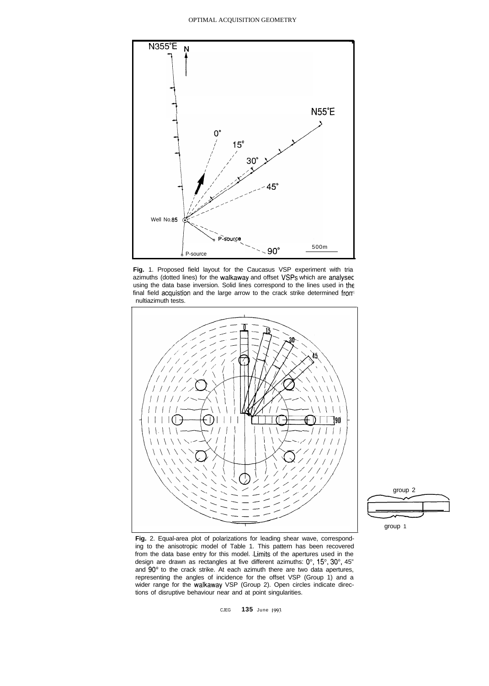#### OPTIMAL ACQUISITION GEOMETRY



**Fig.** 1. Proposed field layout for the Caucasus VSP experiment with tria azimuths (dotted lines) for the walkaway and offset VSPs which are analysec using the data base inversion. Solid lines correspond to the lines used in the final field acquistion and the large arrow to the crack strike determined from nultiazimuth tests.





**Fig.** 2. Equal-area plot of polarizations for leading shear wave, corresponding to the anisotropic model of Table 1. This pattern has been recovered from the data base entry for this model. Limits of the apertures used in the design are drawn as rectangles at five different azimuths: 0°, 15°, 30°, 45" and 90" to the crack strike. At each azimuth there are two data apertures, representing the angles of incidence for the offset VSP (Group 1) and a wider range for the walkaway VSP (Group 2). Open circles indicate directions of disruptive behaviour near and at point singularities.

CJEG **135** June 199.1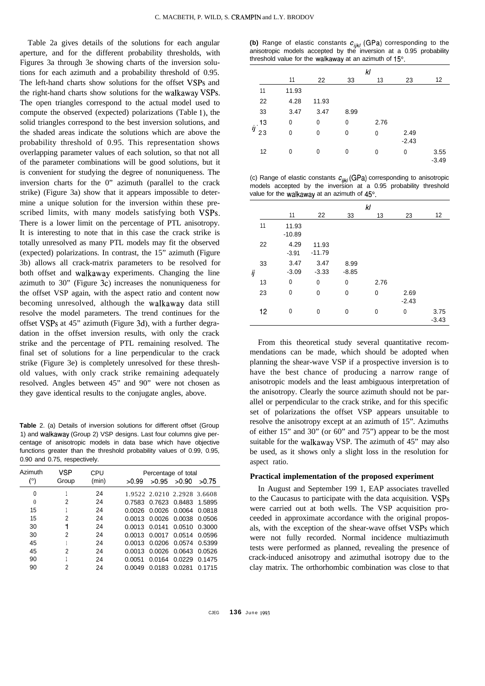Table 2a gives details of the solutions for each angular aperture, and for the different probability thresholds, with Figures 3a through 3e showing charts of the inversion solutions for each azimuth and a probability threshold of 0.95. The left-hand charts show solutions for the offset VSPs and the right-hand charts show solutions for the walkaway VSPs. The open triangles correspond to the actual model used to compute the observed (expected) polarizations (Table l), the solid triangles correspond to the best inversion solutions, and the shaded areas indicate the solutions which are above the probability threshold of 0.95. This representation shows overlapping parameter values of each solution, so that not all of the parameter combinations will be good solutions, but it is convenient for studying the degree of nonuniqueness. The inversion charts for the 0" azimuth (parallel to the crack strike) (Figure 3a) show that it appears impossible to determine a unique solution for the inversion within these prescribed limits, with many models satisfying both VSPs. There is a lower limit on the percentage of PTL anisotropy. It is interesting to note that in this case the crack strike is totally unresolved as many PTL models may fit the observed (expected) polarizations. In contrast, the 15" azimuth (Figure 3b) allows all crack-matrix parameters to be resolved for both offset and walkaway experiments. Changing the line azimuth to 30" (Figure 3c) increases the nonuniqueness for the offset VSP again, with the aspect ratio and content now becoming unresolved, although the walkaway data still resolve the model parameters. The trend continues for the offset VSPs at 45" azimuth (Figure 3d), with a further degradation in the offset inversion results, with only the crack strike and the percentage of PTL remaining resolved. The final set of solutions for a line perpendicular to the crack strike (Figure 3e) is completely unresolved for these threshold values, with only crack strike remaining adequately resolved. Angles between 45" and 90" were not chosen as they gave identical results to the conjugate angles, above.

**Table** 2. (a) Details of inversion solutions for different offset (Group 1) and walkaway (Group 2) VSP designs. Last four columns give percentage of anisotropic models in data base which have objective functions greater than the threshold probability values of 0.99, 0.95, 0.90 and 0.75, respectively.

| Azimuth  | VSP   | CPU   | Percentage of total               |  |  |  |
|----------|-------|-------|-----------------------------------|--|--|--|
| (°)      | Group | (min) | >0.90<br>>0.95<br>>0.99<br>>0.75  |  |  |  |
| 0        |       | 24    | 1.9522 2.0210 2.2928 3.6608       |  |  |  |
| $\theta$ | 2     | 24    | 0.7583 0.7623 0.8483<br>1.5895    |  |  |  |
| 15       |       | 24    | 0.0026 0.0026 0.0064 0.0818       |  |  |  |
| 15       | 2     | 24    | 0.0013 0.0026 0.0038 0.0506       |  |  |  |
| 30       |       | 24    | 0.0013 0.0141 0.0510<br>0.3000    |  |  |  |
| 30       | 2     | 24    | 0.0013 0.0017 0.0514<br>0.0596    |  |  |  |
| 45       |       | 24    | 0.0206 0.0574<br>0.0013<br>0.5399 |  |  |  |
| 45       | 2     | 24    | 0.0026 0.0643<br>0.0526<br>0.0013 |  |  |  |
| 90       |       | 24    | 0.0164 0.0229<br>0.0051<br>0.1475 |  |  |  |
| 90       | 2     | 24    | 0.0183 0.0281<br>0.0049<br>0.1715 |  |  |  |

(b) Range of elastic constants  $c_{ijkl}$  (GPa) corresponding to the anisotropic models accepted by the inversion at a 0.95 probability threshold value for the walkaway at an azimuth of 15°.

|           |       | kl           |             |      |                 |                 |
|-----------|-------|--------------|-------------|------|-----------------|-----------------|
|           | 11    | 22           | 33          | 13   | 23              | 12              |
| 11        | 11.93 |              |             |      |                 |                 |
| 22        | 4.28  | 11.93        |             |      |                 |                 |
| 33        | 3.47  | 3.47         | 8.99        |      |                 |                 |
| 13        | 0     | 0            | 0           | 2.76 |                 |                 |
| ij.<br>23 | 0     | $\mathbf{0}$ | $\mathbf 0$ | 0    | 2.49<br>$-2.43$ |                 |
| 12        | 0     | $\mathbf{0}$ | 0           | 0    | 0               | 3.55<br>$-3.49$ |

(c) Range of elastic constants  $c_{ijkl}$  (GPa) corresponding to anisotropic models accepted by the inversion at a 0.95 probability threshold value for the walkaway at an azimuth of 45°.

|    |    | kl                |                   |                 |      |                 |                 |
|----|----|-------------------|-------------------|-----------------|------|-----------------|-----------------|
|    |    | 11                | 22                | 33              | 13   | 23              | 12              |
|    | 11 | 11.93<br>$-10.89$ |                   |                 |      |                 |                 |
|    | 22 | 4.29<br>$-3.91$   | 11.93<br>$-11.79$ |                 |      |                 |                 |
| ij | 33 | 3.47<br>$-3.09$   | 3.47<br>$-3.33$   | 8.99<br>$-8.85$ |      |                 |                 |
|    | 13 | 0                 | 0                 | 0               | 2.76 |                 |                 |
|    | 23 | $\mathbf 0$       | 0                 | 0               | 0    | 2.69<br>$-2.43$ |                 |
|    | 12 | 0                 | $\mathbf{0}$      | $\mathbf 0$     | 0    | 0               | 3.75<br>$-3.43$ |

From this theoretical study several quantitative recommendations can be made, which should be adopted when planning the shear-wave VSP if a prospective inversion is to have the best chance of producing a narrow range of anisotropic models and the least ambiguous interpretation of the anisotropy. Clearly the source azimuth should not be parallel or perpendicular to the crack strike, and for this specific set of polarizations the offset VSP appears unsuitable to resolve the anisotropy except at an azimuth of 15". Azimuths of either 15" and 30" (or 60" and 75") appear to be the most suitable for the walkaway VSP. The azimuth of 45" may also be used, as it shows only a slight loss in the resolution for aspect ratio.

### **Practical implementation of the proposed experiment**

In August and September 199 1, EAP associates travelled to the Caucasus to participate with the data acquisition. VSPs were carried out at both wells. The VSP acquisition proceeded in approximate accordance with the original proposals, with the exception of the shear-wave offset VSPs which were not fully recorded. Normal incidence multiazimuth tests were performed as planned, revealing the presence of crack-induced anisotropy and azimuthal isotropy due to the clay matrix. The orthorhombic combination was close to that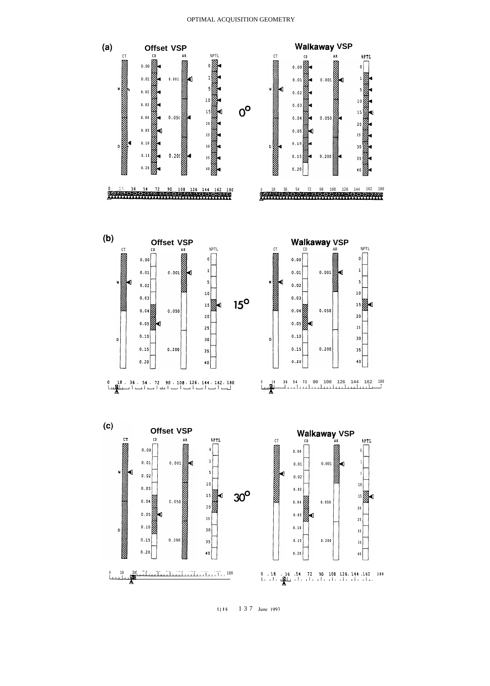

**CJEG** 137 **June IVY.?**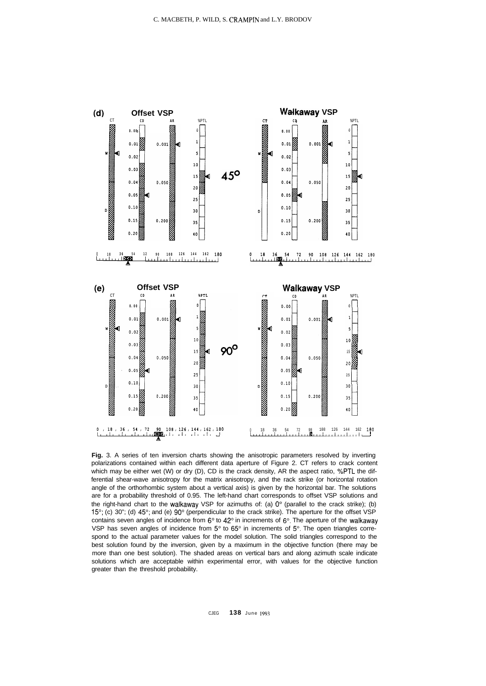

**Fig.** 3. A series of ten inversion charts showing the anisotropic parameters resolved by inverting polarizations contained within each different data aperture of Figure 2. CT refers to crack content which may be either wet (W) or dry (D), CD is the crack density, AR the aspect ratio, %PTL the differential shear-wave anisotropy for the matrix anisotropy, and the rack strike (or horizontal rotation angle of the orthorhombic system about a vertical axis) is given by the horizontal bar. The solutions are for a probability threshold of 0.95. The left-hand chart corresponds to offset VSP solutions and the right-hand chart to the walkaway VSP for azimuths of: (a)  $0^{\circ}$  (parallel to the crack strike); (b) 15"; (c) 30"; (d) 45"; and (e) 90" (perpendicular to the crack strike). The aperture for the offset VSP contains seven angles of incidence from  $6^{\circ}$  to  $42^{\circ}$  in increments of  $6^{\circ}$ . The aperture of the walkaway VSP has seven angles of incidence from  $5^{\circ}$  to  $65^{\circ}$  in increments of  $5^{\circ}$ . The open triangles correspond to the actual parameter values for the model solution. The solid triangles correspond to the best solution found by the inversion, given by a maximum in the objective function (there may be more than one best solution). The shaded areas on vertical bars and along azimuth scale indicate solutions which are acceptable within experimental error, with values for the objective function greater than the threshold probability.

CJEG **138** June 1993